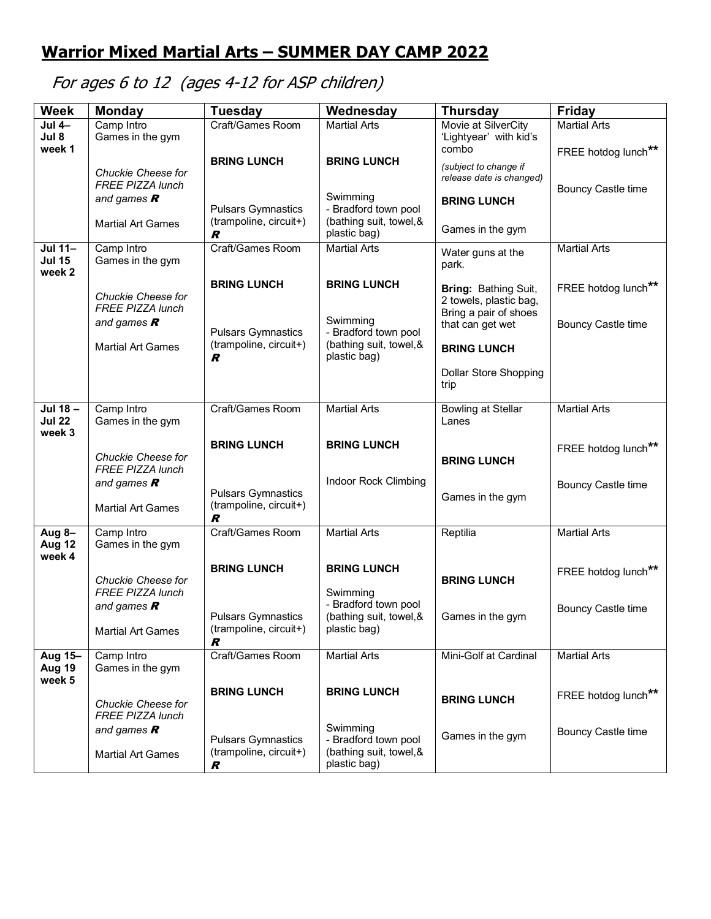## **Warrior Mixed Martial Arts – SUMMER DAY CAMP 2022**

## For ages 6 to 12 (ages 4-12 for ASP children)

| <b>Week</b>                        | <b>Monday</b>                                 | <b>Tuesday</b>                                           | Wednesday                               | <b>Thursday</b>                                   | <b>Friday</b>             |
|------------------------------------|-----------------------------------------------|----------------------------------------------------------|-----------------------------------------|---------------------------------------------------|---------------------------|
| $Jul 4-$                           | Camp Intro                                    | Craft/Games Room                                         | <b>Martial Arts</b>                     | Movie at SilverCity                               | <b>Martial Arts</b>       |
| Jul 8<br>week 1                    | Games in the gym                              |                                                          |                                         | 'Lightyear' with kid's<br>combo                   |                           |
|                                    |                                               | <b>BRING LUNCH</b>                                       | <b>BRING LUNCH</b>                      |                                                   | FREE hotdog lunch**       |
|                                    | Chuckie Cheese for<br><b>FREE PIZZA lunch</b> |                                                          |                                         | (subject to change if<br>release date is changed) | <b>Bouncy Castle time</b> |
|                                    | and games $R$                                 | <b>Pulsars Gymnastics</b>                                | Swimming<br>- Bradford town pool        | <b>BRING LUNCH</b>                                |                           |
|                                    | <b>Martial Art Games</b>                      | (trampoline, circuit+)<br>R                              | (bathing suit, towel, &<br>plastic bag) | Games in the gym                                  |                           |
| Jul 11-<br><b>Jul 15</b><br>week 2 | Camp Intro<br>Games in the gym                | Craft/Games Room                                         | <b>Martial Arts</b>                     | Water guns at the<br>park.                        | <b>Martial Arts</b>       |
|                                    | Chuckie Cheese for                            | <b>BRING LUNCH</b>                                       | <b>BRING LUNCH</b>                      | Bring: Bathing Suit,<br>2 towels, plastic bag,    | FREE hotdog lunch**       |
|                                    | <b>FREE PIZZA lunch</b><br>and games $R$      | <b>Pulsars Gymnastics</b>                                | Swimming<br>- Bradford town pool        | Bring a pair of shoes<br>that can get wet         | <b>Bouncy Castle time</b> |
|                                    | <b>Martial Art Games</b>                      | (trampoline, circuit+)<br>R                              | (bathing suit, towel, &<br>plastic bag) | <b>BRING LUNCH</b>                                |                           |
|                                    |                                               |                                                          |                                         | Dollar Store Shopping<br>trip                     |                           |
| Jul 18-<br><b>Jul 22</b><br>week 3 | Camp Intro<br>Games in the gym                | Craft/Games Room                                         | <b>Martial Arts</b>                     | <b>Bowling at Stellar</b><br>Lanes                | <b>Martial Arts</b>       |
|                                    | Chuckie Cheese for<br><b>FREE PIZZA lunch</b> | <b>BRING LUNCH</b>                                       | <b>BRING LUNCH</b>                      | <b>BRING LUNCH</b>                                | FREE hotdog lunch**       |
|                                    | and games $R$                                 |                                                          | Indoor Rock Climbing                    |                                                   | <b>Bouncy Castle time</b> |
|                                    | <b>Martial Art Games</b>                      | <b>Pulsars Gymnastics</b><br>(trampoline, circuit+)<br>R |                                         | Games in the gym                                  |                           |
| Aug 8-<br>Aug 12<br>week 4         | Camp Intro<br>Games in the gym                | Craft/Games Room                                         | <b>Martial Arts</b>                     | Reptilia                                          | <b>Martial Arts</b>       |
|                                    | Chuckie Cheese for                            | <b>BRING LUNCH</b>                                       | <b>BRING LUNCH</b>                      | <b>BRING LUNCH</b>                                | FREE hotdog lunch**       |
|                                    | <b>FREE PIZZA lunch</b><br>and games $R$      |                                                          | Swimming<br>- Bradford town pool        |                                                   | <b>Bouncy Castle time</b> |
|                                    | <b>Martial Art Games</b>                      | <b>Pulsars Gymnastics</b><br>(trampoline, circuit+)<br>R | (bathing suit, towel, &<br>plastic bag) | Games in the gym                                  |                           |
| Aug 15-<br>Aug 19<br>week 5        | Camp Intro<br>Games in the gym                | Craft/Games Room                                         | <b>Martial Arts</b>                     | Mini-Golf at Cardinal                             | <b>Martial Arts</b>       |
|                                    | Chuckie Cheese for<br><b>FREE PIZZA lunch</b> | <b>BRING LUNCH</b>                                       | <b>BRING LUNCH</b>                      | <b>BRING LUNCH</b>                                | FREE hotdog lunch**       |
|                                    | and games $R$                                 | <b>Pulsars Gymnastics</b>                                | Swimming<br>- Bradford town pool        | Games in the gym                                  | <b>Bouncy Castle time</b> |
|                                    | <b>Martial Art Games</b>                      | (trampoline, circuit+)<br>R                              | (bathing suit, towel, &<br>plastic bag) |                                                   |                           |